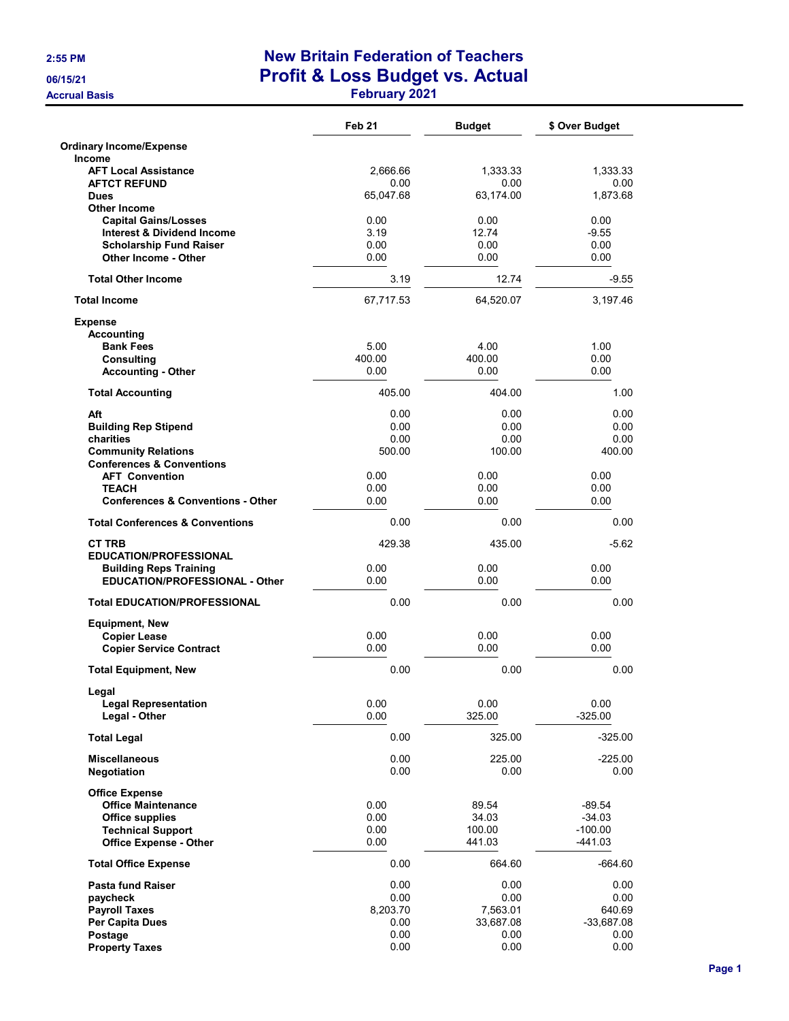|                                                                    | Feb <sub>21</sub> | <b>Budget</b>         | \$ Over Budget         |
|--------------------------------------------------------------------|-------------------|-----------------------|------------------------|
| <b>Ordinary Income/Expense</b><br>Income                           |                   |                       |                        |
| <b>AFT Local Assistance</b>                                        | 2,666.66          | 1,333.33              | 1,333.33               |
| <b>AFTCT REFUND</b><br><b>Dues</b>                                 | 0.00<br>65,047.68 | 0.00<br>63,174.00     | 0.00<br>1,873.68       |
| <b>Other Income</b>                                                |                   |                       |                        |
| <b>Capital Gains/Losses</b>                                        | 0.00              | 0.00                  | 0.00                   |
| <b>Interest &amp; Dividend Income</b>                              | 3.19              | 12.74                 | $-9.55$                |
| <b>Scholarship Fund Raiser</b><br><b>Other Income - Other</b>      | 0.00<br>0.00      | 0.00<br>0.00          | 0.00<br>0.00           |
| <b>Total Other Income</b>                                          | 3.19              | 12.74                 | $-9.55$                |
| <b>Total Income</b>                                                | 67,717.53         | 64,520.07             | 3.197.46               |
| <b>Expense</b>                                                     |                   |                       |                        |
| <b>Accounting</b><br><b>Bank Fees</b>                              | 5.00              | 4.00                  | 1.00                   |
| <b>Consulting</b>                                                  | 400.00            | 400.00                | 0.00                   |
| <b>Accounting - Other</b>                                          | 0.00              | 0.00                  | 0.00                   |
| <b>Total Accounting</b>                                            | 405.00            | 404.00                | 1.00                   |
| Aft                                                                | 0.00              | 0.00                  | 0.00                   |
| <b>Building Rep Stipend</b>                                        | 0.00              | 0.00                  | 0.00                   |
| charities                                                          | 0.00<br>500.00    | 0.00                  | 0.00                   |
| <b>Community Relations</b><br><b>Conferences &amp; Conventions</b> |                   | 100.00                | 400.00                 |
| <b>AFT Convention</b>                                              | 0.00              | 0.00                  | 0.00                   |
| <b>TEACH</b>                                                       | 0.00              | 0.00                  | 0.00                   |
| <b>Conferences &amp; Conventions - Other</b>                       | 0.00              | 0.00                  | 0.00                   |
| <b>Total Conferences &amp; Conventions</b>                         | 0.00              | 0.00                  | 0.00                   |
| <b>CT TRB</b><br><b>EDUCATION/PROFESSIONAL</b>                     | 429.38            | 435.00                | $-5.62$                |
| <b>Building Reps Training</b>                                      | 0.00              | 0.00                  | 0.00                   |
| <b>EDUCATION/PROFESSIONAL - Other</b>                              | 0.00              | 0.00                  | 0.00                   |
| <b>Total EDUCATION/PROFESSIONAL</b>                                | 0.00              | 0.00                  | 0.00                   |
| <b>Equipment, New</b>                                              |                   |                       |                        |
| <b>Copier Lease</b>                                                | 0.00              | 0.00                  | 0.00                   |
| <b>Copier Service Contract</b>                                     | 0.00              | 0.00                  | 0.00                   |
| <b>Total Equipment, New</b>                                        | 0.00              | 0.00                  | 0.00                   |
| Legal<br><b>Legal Representation</b>                               | 0.00              | 0.00                  | 0.00                   |
| Legal - Other                                                      | 0.00              | 325.00                | $-325.00$              |
| <b>Total Legal</b>                                                 | 0.00              | 325.00                | $-325.00$              |
| <b>Miscellaneous</b>                                               | 0.00              | 225.00                | $-225.00$              |
| <b>Negotiation</b>                                                 | 0.00              | 0.00                  | 0.00                   |
| <b>Office Expense</b><br><b>Office Maintenance</b>                 | 0.00              | 89.54                 | $-89.54$               |
| <b>Office supplies</b>                                             | 0.00              | 34.03                 | $-34.03$               |
| <b>Technical Support</b>                                           | 0.00              | 100.00                | $-100.00$              |
| <b>Office Expense - Other</b>                                      | 0.00              | 441.03                | -441.03                |
| <b>Total Office Expense</b>                                        | 0.00              | 664.60                | $-664.60$              |
| <b>Pasta fund Raiser</b>                                           | 0.00              | 0.00                  | $0.00\,$               |
| paycheck                                                           | 0.00              | 0.00                  | 0.00                   |
| <b>Payroll Taxes</b><br>Per Capita Dues                            | 8,203.70<br>0.00  | 7,563.01<br>33,687.08 | 640.69<br>$-33,687.08$ |
| Postage                                                            | 0.00              | 0.00                  | 0.00                   |
| <b>Property Taxes</b>                                              | 0.00              | 0.00                  | 0.00                   |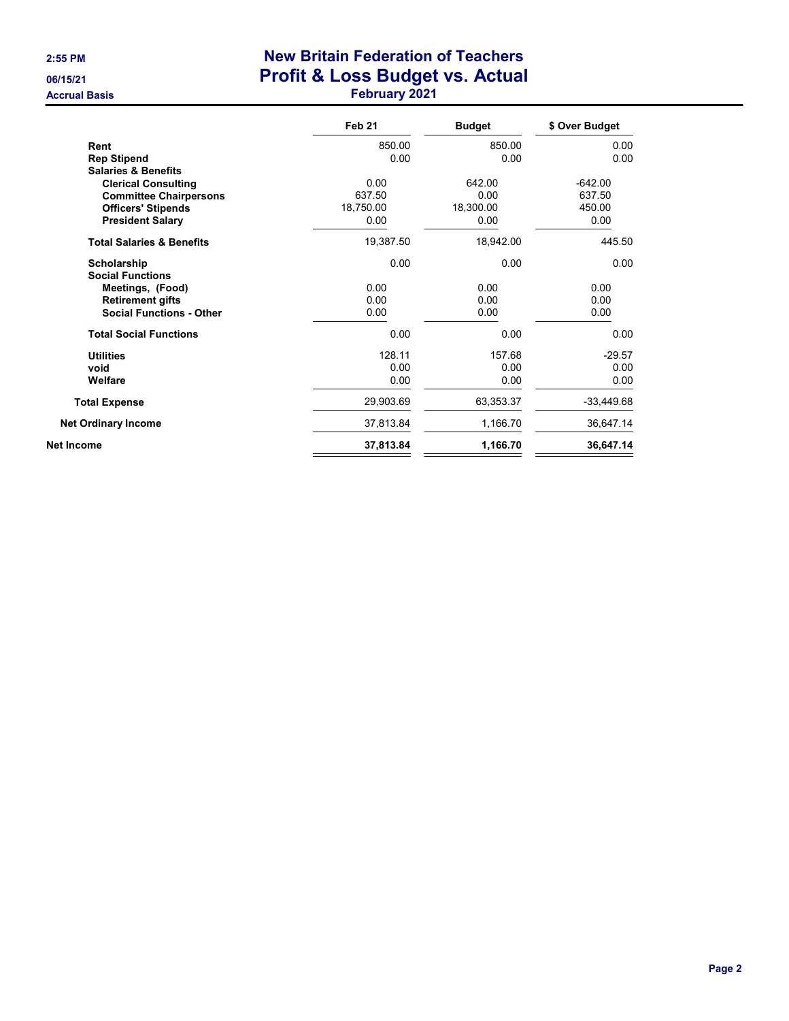|                                      | Feb <sub>21</sub> | <b>Budget</b> | \$ Over Budget |
|--------------------------------------|-------------------|---------------|----------------|
| Rent                                 | 850.00            | 850.00        | 0.00           |
| <b>Rep Stipend</b>                   | 0.00              | 0.00          | 0.00           |
| <b>Salaries &amp; Benefits</b>       |                   |               |                |
| <b>Clerical Consulting</b>           | 0.00              | 642.00        | $-642.00$      |
| <b>Committee Chairpersons</b>        | 637.50            | 0.00          | 637.50         |
| <b>Officers' Stipends</b>            | 18,750.00         | 18,300.00     | 450.00         |
| <b>President Salary</b>              | 0.00              | 0.00          | 0.00           |
| <b>Total Salaries &amp; Benefits</b> | 19,387.50         | 18,942.00     | 445.50         |
| Scholarship                          | 0.00              | 0.00          | 0.00           |
| <b>Social Functions</b>              |                   |               |                |
| Meetings, (Food)                     | 0.00              | 0.00          | 0.00           |
| <b>Retirement gifts</b>              | 0.00              | 0.00          | 0.00           |
| <b>Social Functions - Other</b>      | 0.00              | 0.00          | 0.00           |
| <b>Total Social Functions</b>        | 0.00              | 0.00          | 0.00           |
| <b>Utilities</b>                     | 128.11            | 157.68        | $-29.57$       |
| void                                 | 0.00              | 0.00          | 0.00           |
| Welfare                              | 0.00              | 0.00          | 0.00           |
| <b>Total Expense</b>                 | 29,903.69         | 63,353.37     | $-33,449.68$   |
| <b>Net Ordinary Income</b>           | 37,813.84         | 1,166.70      | 36,647.14      |
| Net Income                           | 37,813.84         | 1,166.70      | 36,647.14      |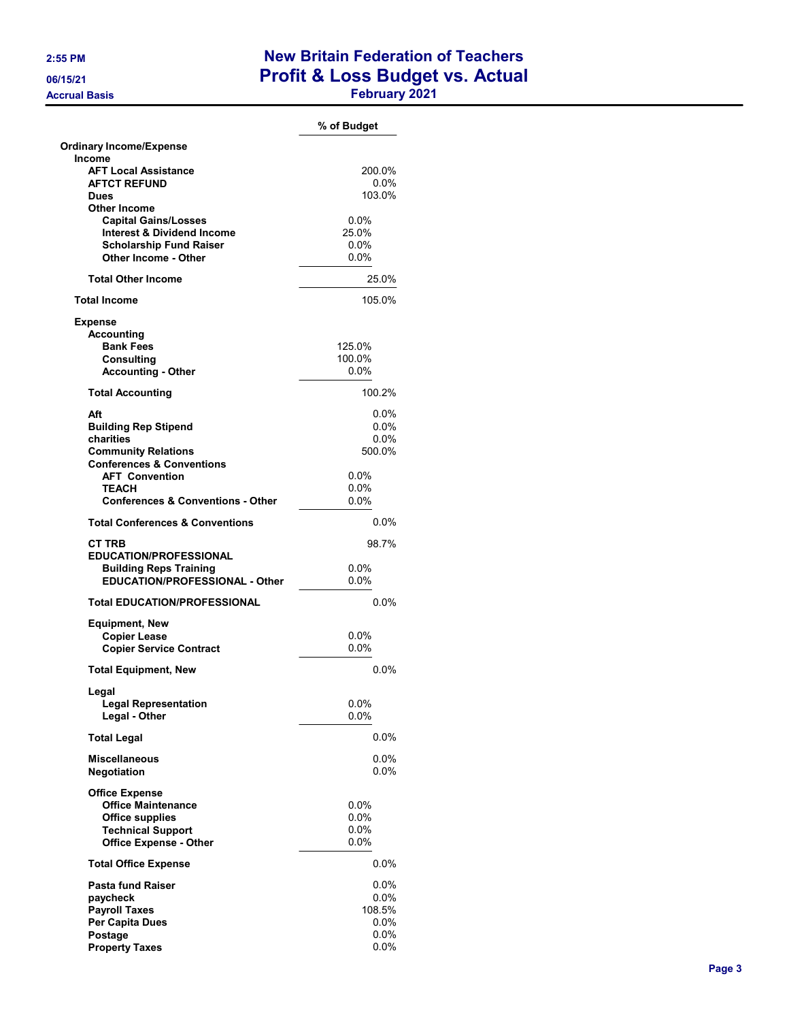|                                                    | % of Budget        |
|----------------------------------------------------|--------------------|
| <b>Ordinary Income/Expense</b>                     |                    |
| Income                                             |                    |
| <b>AFT Local Assistance</b><br><b>AFTCT REFUND</b> | 200.0%<br>$0.0\%$  |
| <b>Dues</b>                                        | 103.0%             |
| <b>Other Income</b>                                |                    |
| <b>Capital Gains/Losses</b>                        | $0.0\%$            |
| <b>Interest &amp; Dividend Income</b>              | 25.0%              |
| <b>Scholarship Fund Raiser</b>                     | $0.0\%$            |
| Other Income - Other                               | 0.0%               |
| <b>Total Other Income</b>                          | 25.0%              |
| <b>Total Income</b>                                | 105.0%             |
| <b>Expense</b>                                     |                    |
| <b>Accounting</b>                                  |                    |
| <b>Bank Fees</b>                                   | 125.0%             |
| Consulting                                         | 100.0%             |
| <b>Accounting - Other</b>                          | $0.0\%$            |
| <b>Total Accounting</b>                            | 100.2%             |
|                                                    |                    |
| Aft<br><b>Building Rep Stipend</b>                 | $0.0\%$<br>$0.0\%$ |
| charities                                          | $0.0\%$            |
| <b>Community Relations</b>                         | 500.0%             |
| <b>Conferences &amp; Conventions</b>               |                    |
| <b>AFT Convention</b>                              | 0.0%               |
| <b>TEACH</b>                                       | 0.0%               |
| <b>Conferences &amp; Conventions - Other</b>       | $0.0\%$            |
| <b>Total Conferences &amp; Conventions</b>         | 0.0%               |
|                                                    |                    |
| <b>CT TRB</b><br><b>EDUCATION/PROFESSIONAL</b>     | 98.7%              |
| <b>Building Reps Training</b>                      | 0.0%               |
| <b>EDUCATION/PROFESSIONAL - Other</b>              | $0.0\%$            |
|                                                    |                    |
| <b>Total EDUCATION/PROFESSIONAL</b>                | $0.0\%$            |
| <b>Equipment, New</b>                              |                    |
| <b>Copier Lease</b>                                | $0.0\%$            |
| <b>Copier Service Contract</b>                     | $0.0\%$            |
| <b>Total Equipment, New</b>                        | 0.0%               |
| Legal                                              |                    |
| <b>Legal Representation</b>                        | $0.0\%$            |
| Legal - Other                                      | $0.0\%$            |
| <b>Total Legal</b>                                 | $0.0\%$            |
| <b>Miscellaneous</b>                               | $0.0\%$            |
| <b>Negotiation</b>                                 | $0.0\%$            |
| <b>Office Expense</b>                              |                    |
| <b>Office Maintenance</b>                          | $0.0\%$            |
| <b>Office supplies</b>                             | $0.0\%$            |
| <b>Technical Support</b>                           | $0.0\%$            |
| <b>Office Expense - Other</b>                      | $0.0\%$            |
| <b>Total Office Expense</b>                        | $0.0\%$            |
| <b>Pasta fund Raiser</b>                           | 0.0%               |
| paycheck                                           | $0.0\%$            |
| <b>Payroll Taxes</b>                               | 108.5%             |
| Per Capita Dues                                    | $0.0\%$            |
| Postage                                            | $0.0\%$            |
| <b>Property Taxes</b>                              | $0.0\%$            |